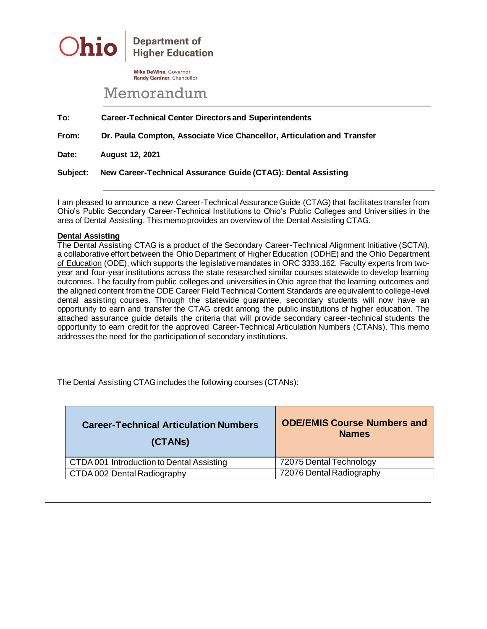

**Department of Higher Education** 

**Mike DeWine, Governor** Randy Gardner, Chancellor

## Memorandum

**To: Career-Technical Center Directors and Superintendents**

**From: Dr. Paula Compton, Associate Vice Chancellor, Articulation and Transfer**

**Date: August 12, 2021**

**Subject: New Career-Technical Assurance Guide (CTAG): Dental Assisting**

I am pleased to announce a new Career-Technical Assurance Guide (CTAG) that facilitates transfer from Ohio's Public Secondary Career-Technical Institutions to Ohio's Public Colleges and Universities in the area of Dental Assisting. This memo provides an overview of the Dental Assisting CTAG.

## **Dental Assisting**

The Dental Assisting CTAG is a product of the Secondary Career-Technical Alignment Initiative (SCTAI), a collaborative effort between the Ohio Department of Higher Education (ODHE) and the Ohio Department of Education (ODE), which supports the legislative mandates in ORC 3333.162. Faculty experts from twoyear and four-year institutions across the state researched similar courses statewide to develop learning outcomes. The faculty from public colleges and universities in Ohio agree that the learning outcomes and the aligned content from the ODE Career Field Technical Content Standards are equivalent to college-level dental assisting courses. Through the statewide guarantee, secondary students will now have an opportunity to earn and transfer the CTAG credit among the public institutions of higher education. The attached assurance guide details the criteria that will provide secondary career-technical students the opportunity to earn credit for the approved Career-Technical Articulation Numbers (CTANs). This memo addresses the need for the participation of secondary institutions.

The Dental Assisting CTAG includes the following courses (CTANs):

| <b>Career-Technical Articulation Numbers</b><br>(CTANS) | <b>ODE/EMIS Course Numbers and</b><br><b>Names</b> |
|---------------------------------------------------------|----------------------------------------------------|
| CTDA 001 Introduction to Dental Assisting               | 72075 Dental Technology                            |
| CTDA 002 Dental Radiography                             | 72076 Dental Radiography                           |